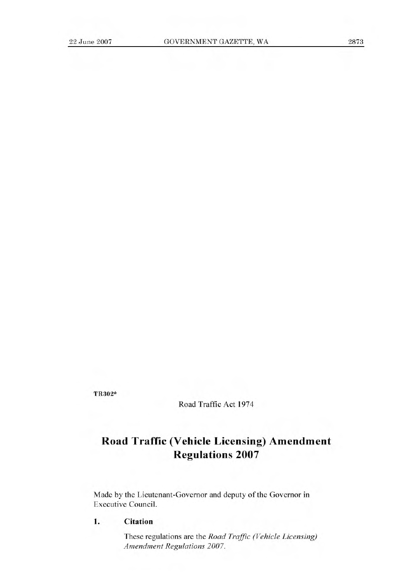TR302\*

Road Traffic Act 1974

## **Road Traffic (Vehicle Licensing) Amendment Regulations 2007**

Made by the Lieutenant-Governor and deputy of the Governor in Executive Council.

**1. Citation** 

These regulations are the *Road Traffic (Vehicle Licensing) Amendment Regulations 2007.*